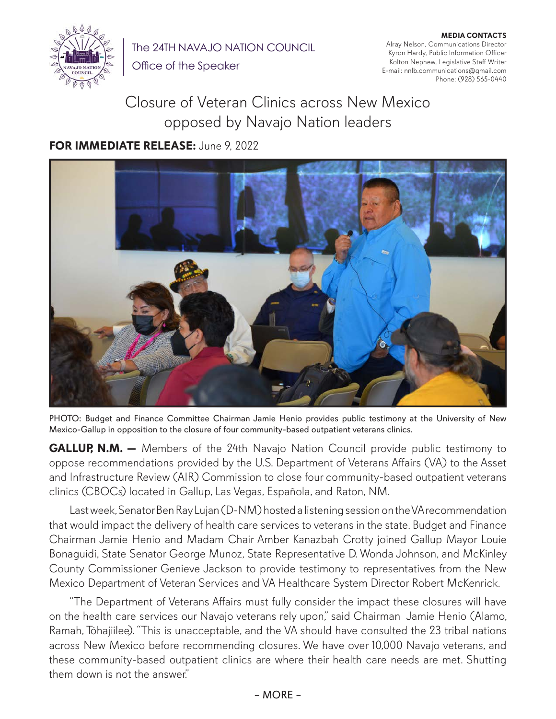

The 24TH NAVAJO NATION COUNCIL

Office of the Speaker

**MEDIA CONTACTS** Alray Nelson, Communications Director Kyron Hardy, Public Information Officer Kolton Nephew, Legislative Staff Writer E-mail: nnlb.communications@gmail.com Phone: (928) 565-0440

## Closure of Veteran Clinics across New Mexico opposed by Navajo Nation leaders

## **FOR IMMEDIATE RELEASE:** June 9, 2022



PHOTO: Budget and Finance Committee Chairman Jamie Henio provides public testimony at the University of New Mexico-Gallup in opposition to the closure of four community-based outpatient veterans clinics.

**GALLUP, N.M.** – Members of the 24th Navajo Nation Council provide public testimony to oppose recommendations provided by the U.S. Department of Veterans Affairs (VA) to the Asset and Infrastructure Review (AIR) Commission to close four community-based outpatient veterans clinics (CBOCs) located in Gallup, Las Vegas, Española, and Raton, NM.

Last week, Senator Ben Ray Lujan (D-NM) hosted a listening session on the VA recommendation that would impact the delivery of health care services to veterans in the state. Budget and Finance Chairman Jamie Henio and Madam Chair Amber Kanazbah Crotty joined Gallup Mayor Louie Bonaguidi, State Senator George Munoz, State Representative D. Wonda Johnson, and McKinley County Commissioner Genieve Jackson to provide testimony to representatives from the New Mexico Department of Veteran Services and VA Healthcare System Director Robert McKenrick.

"The Department of Veterans Affairs must fully consider the impact these closures will have on the health care services our Navajo veterans rely upon," said Chairman Jamie Henio (Alamo, Ramah, Tóhajiilee). "This is unacceptable, and the VA should have consulted the 23 tribal nations across New Mexico before recommending closures. We have over 10,000 Navajo veterans, and these community-based outpatient clinics are where their health care needs are met. Shutting them down is not the answer."